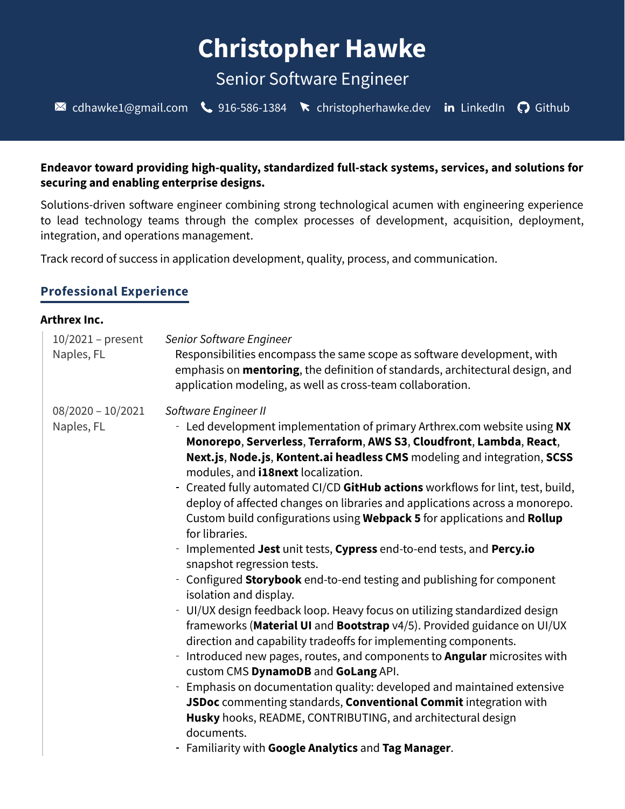# **Christopher Hawke**

# Senior Software Engineer

 $\blacksquare$  [cdhawke1@gmail.com](mailto:cdhawke1@gmail.com)  $\clubsuit$  [916-586-1384](tel:916-586-1384)  $\spadesuit$  [christopherhawke.dev](https://christopherhawke.dev/) in [LinkedIn](https://www.linkedin.com/in/christopher-hawke-6116a84b/)  $\heartsuit$  [Github](https://github.com/cdhawke)

### **Endeavor toward providing high-quality, standardized full-stack systems, services, and solutions for securing and enabling enterprise designs.**

Solutions-driven software engineer combining strong technological acumen with engineering experience to lead technology teams through the complex processes of development, acquisition, deployment, integration, and operations management.

Track record of success in application development, quality, process, and communication.

# **Professional Experience**

#### **Arthrex Inc.**

| $10/2021$ – present<br>Naples, FL | Senior Software Engineer<br>Responsibilities encompass the same scope as software development, with<br>emphasis on <b>mentoring</b> , the definition of standards, architectural design, and<br>application modeling, as well as cross-team collaboration.                                                                                                                                                                                                                                                                                                                                                                                                                                                                                                                                                                                                                                                                                                                                                                                                                                                                                                                                                                                                                                                                                                                                                            |
|-----------------------------------|-----------------------------------------------------------------------------------------------------------------------------------------------------------------------------------------------------------------------------------------------------------------------------------------------------------------------------------------------------------------------------------------------------------------------------------------------------------------------------------------------------------------------------------------------------------------------------------------------------------------------------------------------------------------------------------------------------------------------------------------------------------------------------------------------------------------------------------------------------------------------------------------------------------------------------------------------------------------------------------------------------------------------------------------------------------------------------------------------------------------------------------------------------------------------------------------------------------------------------------------------------------------------------------------------------------------------------------------------------------------------------------------------------------------------|
| $08/2020 - 10/2021$<br>Naples, FL | Software Engineer II<br>- Led development implementation of primary Arthrex.com website using NX<br>Monorepo, Serverless, Terraform, AWS S3, Cloudfront, Lambda, React,<br>Next.js, Node.js, Kontent.ai headless CMS modeling and integration, SCSS<br>modules, and <b>i18next</b> localization.<br>- Created fully automated CI/CD GitHub actions workflows for lint, test, build,<br>deploy of affected changes on libraries and applications across a monorepo.<br>Custom build configurations using Webpack 5 for applications and Rollup<br>for libraries.<br>- Implemented Jest unit tests, Cypress end-to-end tests, and Percy.io<br>snapshot regression tests.<br>- Configured Storybook end-to-end testing and publishing for component<br>isolation and display.<br>- UI/UX design feedback loop. Heavy focus on utilizing standardized design<br>frameworks (Material UI and Bootstrap v4/5). Provided guidance on UI/UX<br>direction and capability tradeoffs for implementing components.<br>- Introduced new pages, routes, and components to <b>Angular</b> microsites with<br>custom CMS DynamoDB and GoLang API.<br>- Emphasis on documentation quality: developed and maintained extensive<br>JSDoc commenting standards, Conventional Commit integration with<br>Husky hooks, README, CONTRIBUTING, and architectural design<br>documents.<br>- Familiarity with Google Analytics and Tag Manager. |